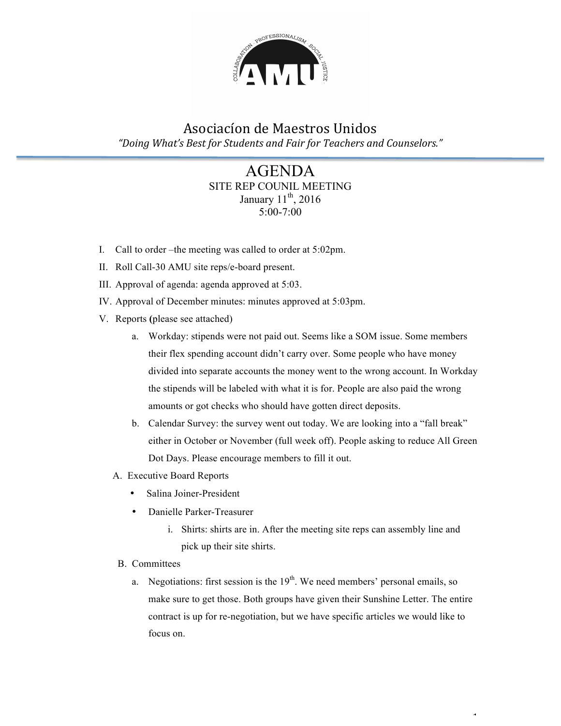

## Asociacíon de Maestros Unidos "Doing What's Best for Students and Fair for Teachers and Counselors."

### AGENDA SITE REP COUNIL MEETING January  $11<sup>th</sup>$ , 2016 5:00-7:00

- I. Call to order –the meeting was called to order at 5:02pm.
- II. Roll Call-30 AMU site reps/e-board present.
- III. Approval of agenda: agenda approved at 5:03.
- IV. Approval of December minutes: minutes approved at 5:03pm.
- V. Reports **(**please see attached)
	- a. Workday: stipends were not paid out. Seems like a SOM issue. Some members their flex spending account didn't carry over. Some people who have money divided into separate accounts the money went to the wrong account. In Workday the stipends will be labeled with what it is for. People are also paid the wrong amounts or got checks who should have gotten direct deposits.
	- b. Calendar Survey: the survey went out today. We are looking into a "fall break" either in October or November (full week off). People asking to reduce All Green Dot Days. Please encourage members to fill it out.
	- A. Executive Board Reports
		- Salina Joiner-President
		- Danielle Parker-Treasurer
			- i. Shirts: shirts are in. After the meeting site reps can assembly line and pick up their site shirts.
	- B. Committees
		- a. Negotiations: first session is the  $19<sup>th</sup>$ . We need members' personal emails, so make sure to get those. Both groups have given their Sunshine Letter. The entire contract is up for re-negotiation, but we have specific articles we would like to focus on.

 $\ddot{\phantom{1}}$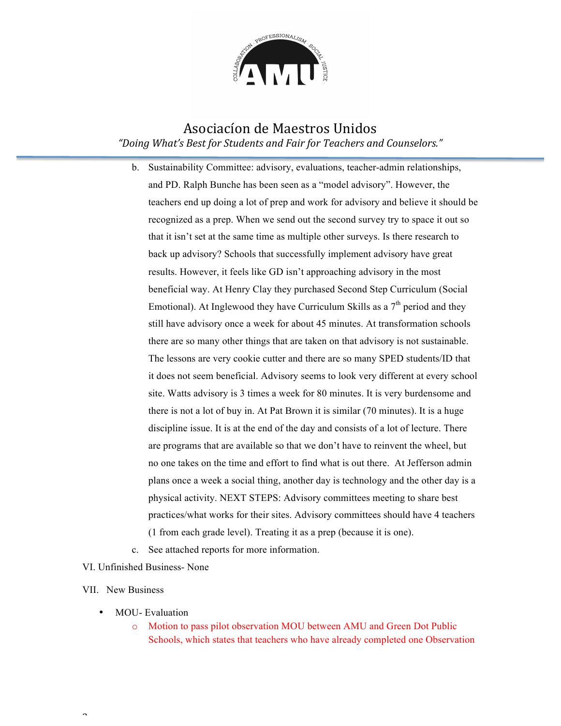

### Asociacíon de Maestros Unidos "Doing What's Best for Students and Fair for Teachers and Counselors."

- b. Sustainability Committee: advisory, evaluations, teacher-admin relationships, and PD. Ralph Bunche has been seen as a "model advisory". However, the teachers end up doing a lot of prep and work for advisory and believe it should be recognized as a prep. When we send out the second survey try to space it out so that it isn't set at the same time as multiple other surveys. Is there research to back up advisory? Schools that successfully implement advisory have great results. However, it feels like GD isn't approaching advisory in the most beneficial way. At Henry Clay they purchased Second Step Curriculum (Social Emotional). At Inglewood they have Curriculum Skills as a  $7<sup>th</sup>$  period and they still have advisory once a week for about 45 minutes. At transformation schools there are so many other things that are taken on that advisory is not sustainable. The lessons are very cookie cutter and there are so many SPED students/ID that it does not seem beneficial. Advisory seems to look very different at every school site. Watts advisory is 3 times a week for 80 minutes. It is very burdensome and there is not a lot of buy in. At Pat Brown it is similar (70 minutes). It is a huge discipline issue. It is at the end of the day and consists of a lot of lecture. There are programs that are available so that we don't have to reinvent the wheel, but no one takes on the time and effort to find what is out there. At Jefferson admin plans once a week a social thing, another day is technology and the other day is a physical activity. NEXT STEPS: Advisory committees meeting to share best practices/what works for their sites. Advisory committees should have 4 teachers (1 from each grade level). Treating it as a prep (because it is one).
- c. See attached reports for more information.

#### VI. Unfinished Business- None

#### VII. New Business

 $\overline{\phantom{0}}$ 

- MOU-Evaluation
	- o Motion to pass pilot observation MOU between AMU and Green Dot Public Schools, which states that teachers who have already completed one Observation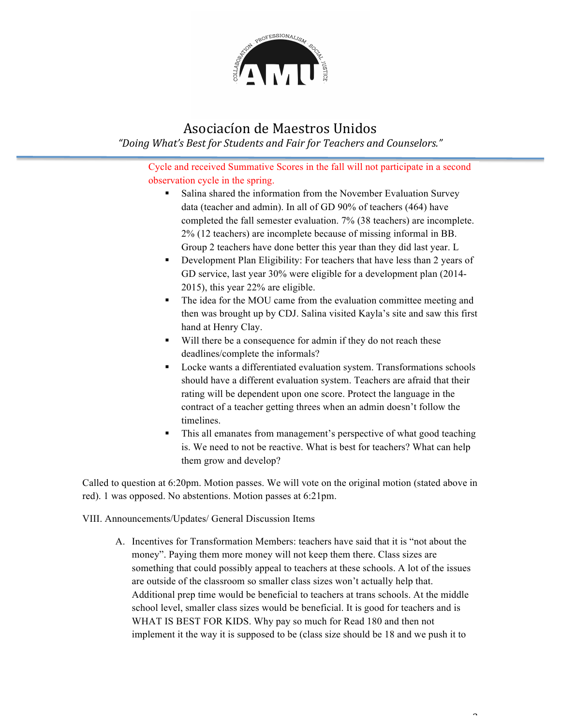

# Asociacíon de Maestros Unidos

"Doing What's Best for Students and Fair for Teachers and Counselors."

Cycle and received Summative Scores in the fall will not participate in a second observation cycle in the spring.

- § Salina shared the information from the November Evaluation Survey data (teacher and admin). In all of GD 90% of teachers (464) have completed the fall semester evaluation. 7% (38 teachers) are incomplete. 2% (12 teachers) are incomplete because of missing informal in BB. Group 2 teachers have done better this year than they did last year. L
- Development Plan Eligibility: For teachers that have less than 2 years of GD service, last year 30% were eligible for a development plan (2014- 2015), this year 22% are eligible.
- The idea for the MOU came from the evaluation committee meeting and then was brought up by CDJ. Salina visited Kayla's site and saw this first hand at Henry Clay.
- § Will there be a consequence for admin if they do not reach these deadlines/complete the informals?
- Locke wants a differentiated evaluation system. Transformations schools should have a different evaluation system. Teachers are afraid that their rating will be dependent upon one score. Protect the language in the contract of a teacher getting threes when an admin doesn't follow the timelines.
- This all emanates from management's perspective of what good teaching is. We need to not be reactive. What is best for teachers? What can help them grow and develop?

 $\overline{\phantom{0}}$ 

Called to question at 6:20pm. Motion passes. We will vote on the original motion (stated above in red). 1 was opposed. No abstentions. Motion passes at 6:21pm.

VIII. Announcements/Updates/ General Discussion Items

A. Incentives for Transformation Members: teachers have said that it is "not about the money". Paying them more money will not keep them there. Class sizes are something that could possibly appeal to teachers at these schools. A lot of the issues are outside of the classroom so smaller class sizes won't actually help that. Additional prep time would be beneficial to teachers at trans schools. At the middle school level, smaller class sizes would be beneficial. It is good for teachers and is WHAT IS BEST FOR KIDS. Why pay so much for Read 180 and then not implement it the way it is supposed to be (class size should be 18 and we push it to